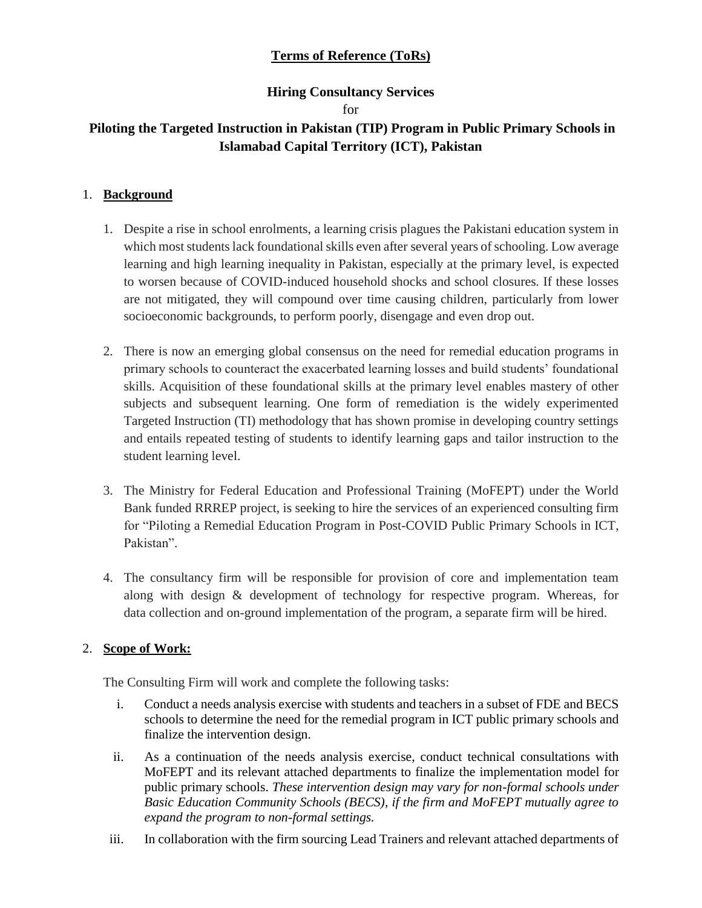# **Terms of Reference (ToRs)**

# **Hiring Consultancy Services**

### for

# **Piloting the Targeted Instruction in Pakistan (TIP) Program in Public Primary Schools in Islamabad Capital Territory (ICT), Pakistan**

## 1. **Background**

- 1. Despite a rise in school enrolments, a learning crisis plagues the Pakistani education system in which most students lack foundational skills even after several years of schooling. Low average learning and high learning inequality in Pakistan, especially at the primary level, is expected to worsen because of COVID-induced household shocks and school closures. If these losses are not mitigated, they will compound over time causing children, particularly from lower socioeconomic backgrounds, to perform poorly, disengage and even drop out.
- 2. There is now an emerging global consensus on the need for remedial education programs in primary schools to counteract the exacerbated learning losses and build students' foundational skills. Acquisition of these foundational skills at the primary level enables mastery of other subjects and subsequent learning. One form of remediation is the widely experimented Targeted Instruction (TI) methodology that has shown promise in developing country settings and entails repeated testing of students to identify learning gaps and tailor instruction to the student learning level.
- 3. The Ministry for Federal Education and Professional Training (MoFEPT) under the World Bank funded RRREP project, is seeking to hire the services of an experienced consulting firm for "Piloting a Remedial Education Program in Post-COVID Public Primary Schools in ICT, Pakistan".
- 4. The consultancy firm will be responsible for provision of core and implementation team along with design & development of technology for respective program. Whereas, for data collection and on-ground implementation of the program, a separate firm will be hired.

# 2. **Scope of Work:**

The Consulting Firm will work and complete the following tasks:

- i. Conduct a needs analysis exercise with students and teachers in a subset of FDE and BECS schools to determine the need for the remedial program in ICT public primary schools and finalize the intervention design.
- ii. As a continuation of the needs analysis exercise, conduct technical consultations with MoFEPT and its relevant attached departments to finalize the implementation model for public primary schools. *These intervention design may vary for non-formal schools under Basic Education Community Schools (BECS), if the firm and MoFEPT mutually agree to expand the program to non-formal settings.*
- iii. In collaboration with the firm sourcing Lead Trainers and relevant attached departments of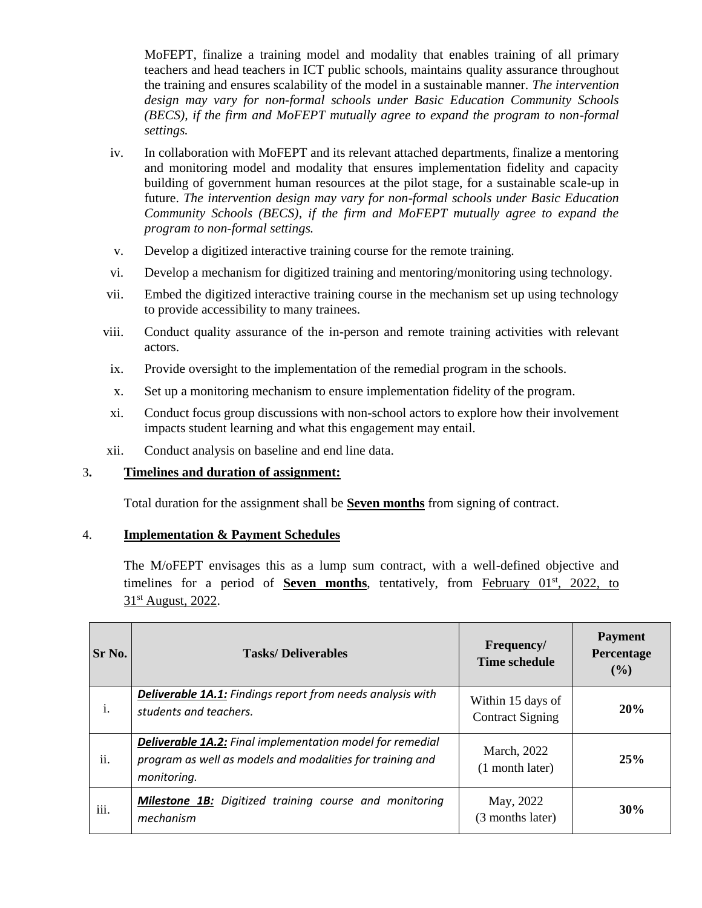MoFEPT, finalize a training model and modality that enables training of all primary teachers and head teachers in ICT public schools, maintains quality assurance throughout the training and ensures scalability of the model in a sustainable manner. *The intervention design may vary for non-formal schools under Basic Education Community Schools (BECS), if the firm and MoFEPT mutually agree to expand the program to non-formal settings.*

- iv. In collaboration with MoFEPT and its relevant attached departments, finalize a mentoring and monitoring model and modality that ensures implementation fidelity and capacity building of government human resources at the pilot stage, for a sustainable scale-up in future. *The intervention design may vary for non-formal schools under Basic Education Community Schools (BECS), if the firm and MoFEPT mutually agree to expand the program to non-formal settings.*
- v. Develop a digitized interactive training course for the remote training.
- vi. Develop a mechanism for digitized training and mentoring/monitoring using technology.
- vii. Embed the digitized interactive training course in the mechanism set up using technology to provide accessibility to many trainees.
- viii. Conduct quality assurance of the in-person and remote training activities with relevant actors.
- ix. Provide oversight to the implementation of the remedial program in the schools.
- x. Set up a monitoring mechanism to ensure implementation fidelity of the program.
- xi. Conduct focus group discussions with non-school actors to explore how their involvement impacts student learning and what this engagement may entail.
- xii. Conduct analysis on baseline and end line data.

## 3**. Timelines and duration of assignment:**

Total duration for the assignment shall be **Seven months** from signing of contract.

#### 4. **Implementation & Payment Schedules**

The M/oFEPT envisages this as a lump sum contract, with a well-defined objective and timelines for a period of **Seven months**, tentatively, from February 01<sup>st</sup>, 2022, to 31<sup>st</sup> August, 2022.

| Sr No. | <b>Tasks/Deliverables</b>                                                                                                                    | Frequency/<br>Time schedule                  | <b>Payment</b><br>Percentage<br>$($ %) |
|--------|----------------------------------------------------------------------------------------------------------------------------------------------|----------------------------------------------|----------------------------------------|
| i.     | <b>Deliverable 1A.1:</b> Findings report from needs analysis with<br>students and teachers.                                                  | Within 15 days of<br><b>Contract Signing</b> | 20%                                    |
| ii.    | <b>Deliverable 1A.2:</b> Final implementation model for remedial<br>program as well as models and modalities for training and<br>monitoring. | March, 2022<br>$(1$ month later)             | 25%                                    |
| iii.   | <b>Milestone 1B:</b> Digitized training course and monitoring<br>mechanism                                                                   | May, 2022<br>(3 months later)                | 30%                                    |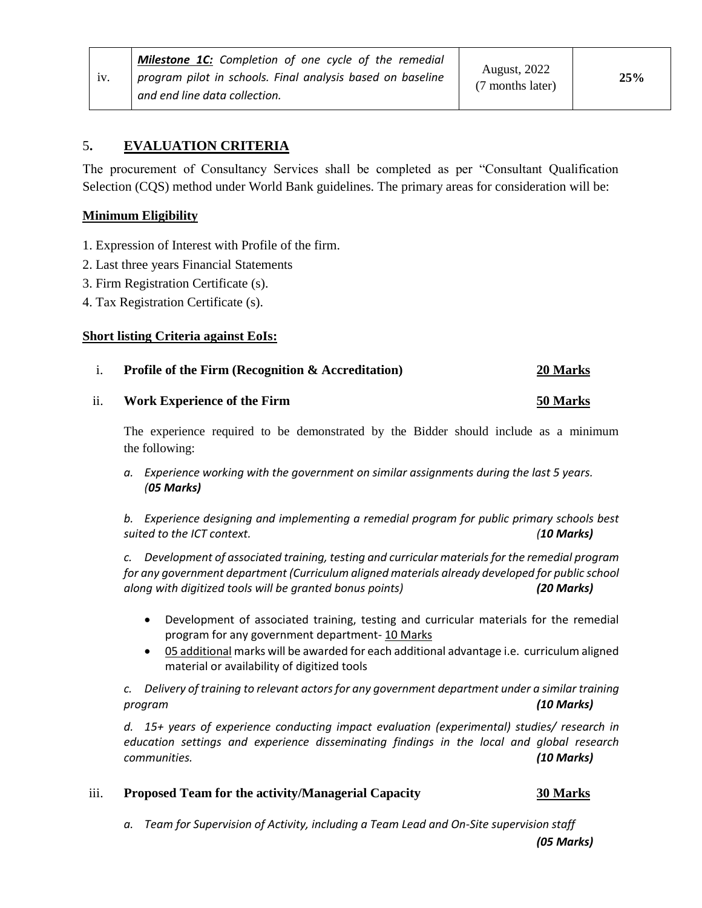# 5**. EVALUATION CRITERIA**

The procurement of Consultancy Services shall be completed as per "Consultant Qualification Selection (CQS) method under World Bank guidelines. The primary areas for consideration will be:

#### **Minimum Eligibility**

- 1. Expression of Interest with Profile of the firm.
- 2. Last three years Financial Statements
- 3. Firm Registration Certificate (s).
- 4. Tax Registration Certificate (s).

#### **Short listing Criteria against EoIs:**

### i. **Profile of the Firm (Recognition & Accreditation) 20 Marks**

#### ii. **Work Experience of the Firm 50 Marks**

The experience required to be demonstrated by the Bidder should include as a minimum the following:

*a. Experience working with the government on similar assignments during the last 5 years. (05 Marks)*

*b. Experience designing and implementing a remedial program for public primary schools best suited to the ICT context. (10 Marks)*

*c. Development of associated training, testing and curricular materials for the remedial program for any government department (Curriculum aligned materials already developed for public school along with digitized tools will be granted bonus points) (20 Marks)*

- Development of associated training, testing and curricular materials for the remedial program for any government department- 10 Marks
- 05 additional marks will be awarded for each additional advantage i.e. curriculum aligned material or availability of digitized tools

*c. Delivery of training to relevant actorsfor any government department under a similar training program (10 Marks)*

*d. 15+ years of experience conducting impact evaluation (experimental) studies/ research in education settings and experience disseminating findings in the local and global research communities. (10 Marks)*

#### iii. **Proposed Team for the activity/Managerial Capacity 30 Marks**

*a. Team for Supervision of Activity, including a Team Lead and On-Site supervision staff* 

*(05 Marks)*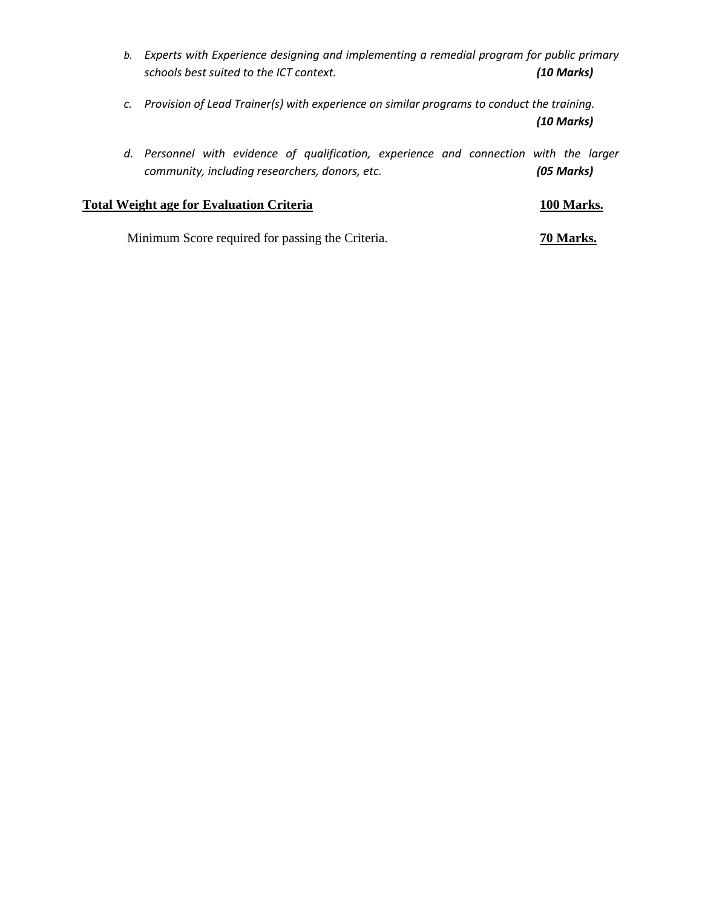- *b. Experts with Experience designing and implementing a remedial program for public primary schools best suited to the ICT context. (10 Marks)*
- *c. Provision of Lead Trainer(s) with experience on similar programs to conduct the training. (10 Marks)*
- *d. Personnel with evidence of qualification, experience and connection with the larger community, including researchers, donors, etc. (05 Marks)*

# **Total Weight age for Evaluation Criteria 100 Marks.**

Minimum Score required for passing the Criteria. **70 Marks.**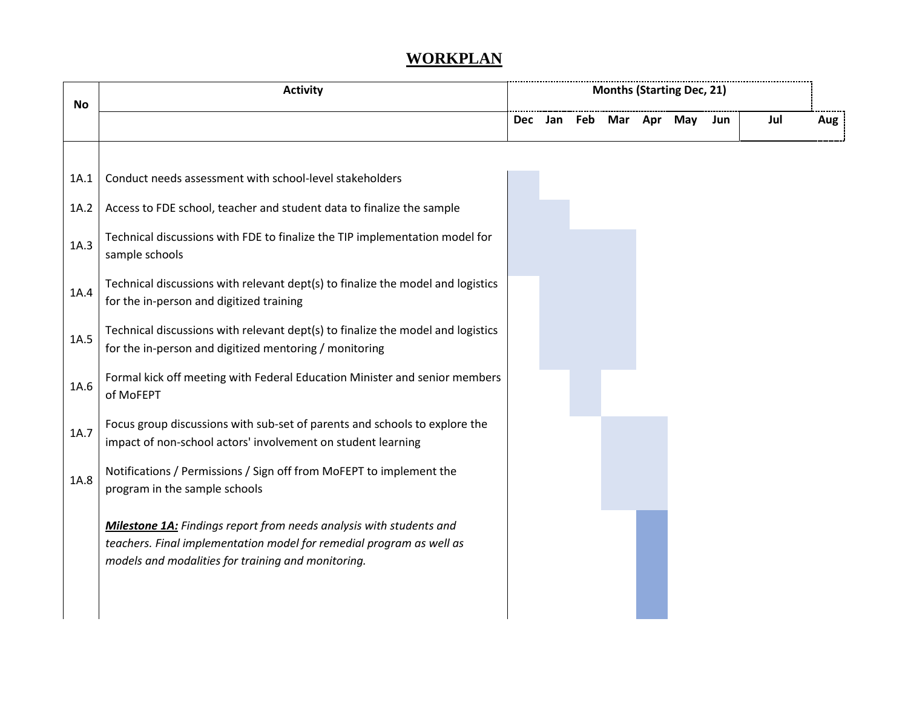# **WORKPLAN**

| No   | <b>Activity</b>                                                                                                                                                                                   | <b>Months (Starting Dec, 21)</b> |     |  |                 |  |  |     |     |     |
|------|---------------------------------------------------------------------------------------------------------------------------------------------------------------------------------------------------|----------------------------------|-----|--|-----------------|--|--|-----|-----|-----|
|      |                                                                                                                                                                                                   | <b>Dec</b>                       | Jan |  | Feb Mar Apr May |  |  | Jun | Jul | Aug |
|      |                                                                                                                                                                                                   |                                  |     |  |                 |  |  |     |     |     |
| 1A.1 | Conduct needs assessment with school-level stakeholders                                                                                                                                           |                                  |     |  |                 |  |  |     |     |     |
| 1A.2 | Access to FDE school, teacher and student data to finalize the sample                                                                                                                             |                                  |     |  |                 |  |  |     |     |     |
| 1A.3 | Technical discussions with FDE to finalize the TIP implementation model for<br>sample schools                                                                                                     |                                  |     |  |                 |  |  |     |     |     |
| 1A.4 | Technical discussions with relevant dept(s) to finalize the model and logistics<br>for the in-person and digitized training                                                                       |                                  |     |  |                 |  |  |     |     |     |
| 1A.5 | Technical discussions with relevant dept(s) to finalize the model and logistics<br>for the in-person and digitized mentoring / monitoring                                                         |                                  |     |  |                 |  |  |     |     |     |
| 1A.6 | Formal kick off meeting with Federal Education Minister and senior members<br>of MoFEPT                                                                                                           |                                  |     |  |                 |  |  |     |     |     |
| 1A.7 | Focus group discussions with sub-set of parents and schools to explore the<br>impact of non-school actors' involvement on student learning                                                        |                                  |     |  |                 |  |  |     |     |     |
| 1A.8 | Notifications / Permissions / Sign off from MoFEPT to implement the<br>program in the sample schools                                                                                              |                                  |     |  |                 |  |  |     |     |     |
|      | Milestone 1A: Findings report from needs analysis with students and<br>teachers. Final implementation model for remedial program as well as<br>models and modalities for training and monitoring. |                                  |     |  |                 |  |  |     |     |     |